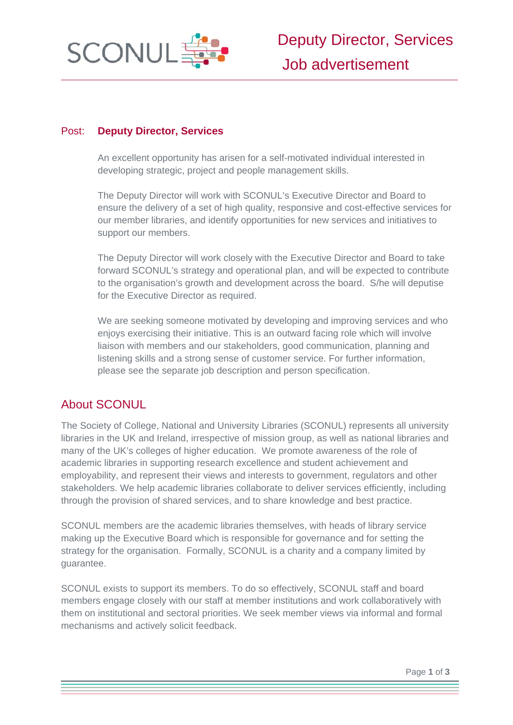

# Post: **Deputy Director, Services**

An excellent opportunity has arisen for a self-motivated individual interested in developing strategic, project and people management skills.

The Deputy Director will work with SCONUL's Executive Director and Board to ensure the delivery of a set of high quality, responsive and cost-effective services for our member libraries, and identify opportunities for new services and initiatives to support our members.

The Deputy Director will work closely with the Executive Director and Board to take forward SCONUL's strategy and operational plan, and will be expected to contribute to the organisation's growth and development across the board. S/he will deputise for the Executive Director as required.

We are seeking someone motivated by developing and improving services and who enjoys exercising their initiative. This is an outward facing role which will involve liaison with members and our stakeholders, good communication, planning and listening skills and a strong sense of customer service. For further information, please see the separate job description and person specification.

# About SCONUL

The Society of College, National and University Libraries (SCONUL) represents all university libraries in the UK and Ireland, irrespective of mission group, as well as national libraries and many of the UK's colleges of higher education. We promote awareness of the role of academic libraries in supporting research excellence and student achievement and employability, and represent their views and interests to government, regulators and other stakeholders. We help academic libraries collaborate to deliver services efficiently, including through the provision of shared services, and to share knowledge and best practice.

SCONUL members are the academic libraries themselves, with heads of library service making up the Executive Board which is responsible for governance and for setting the strategy for the organisation. Formally, SCONUL is a charity and a company limited by guarantee.

SCONUL exists to support its members. To do so effectively, SCONUL staff and board members engage closely with our staff at member institutions and work collaboratively with them on institutional and sectoral priorities. We seek member views via informal and formal mechanisms and actively solicit feedback.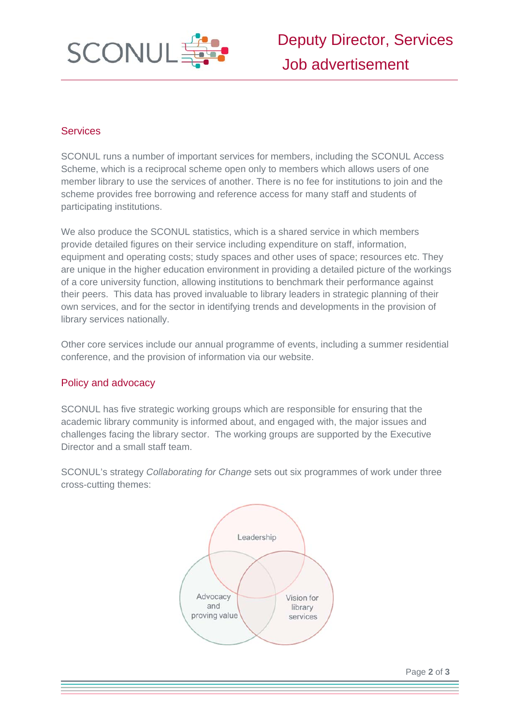

# **Services**

SCONUL runs a number of important services for members, including the SCONUL Access Scheme, which is a reciprocal scheme open only to members which allows users of one member library to use the services of another. There is no fee for institutions to join and the scheme provides free borrowing and reference access for many staff and students of participating institutions.

We also produce the SCONUL statistics, which is a shared service in which members provide detailed figures on their service including expenditure on staff, information, equipment and operating costs; study spaces and other uses of space; resources etc. They are unique in the higher education environment in providing a detailed picture of the workings of a core university function, allowing institutions to benchmark their performance against their peers. This data has proved invaluable to library leaders in strategic planning of their own services, and for the sector in identifying trends and developments in the provision of library services nationally.

Other core services include our annual programme of events, including a summer residential conference, and the provision of information via our website.

# Policy and advocacy

SCONUL has five strategic working groups which are responsible for ensuring that the academic library community is informed about, and engaged with, the major issues and challenges facing the library sector. The working groups are supported by the Executive Director and a small staff team.

SCONUL's strategy *Collaborating for Change* sets out six programmes of work under three cross-cutting themes:

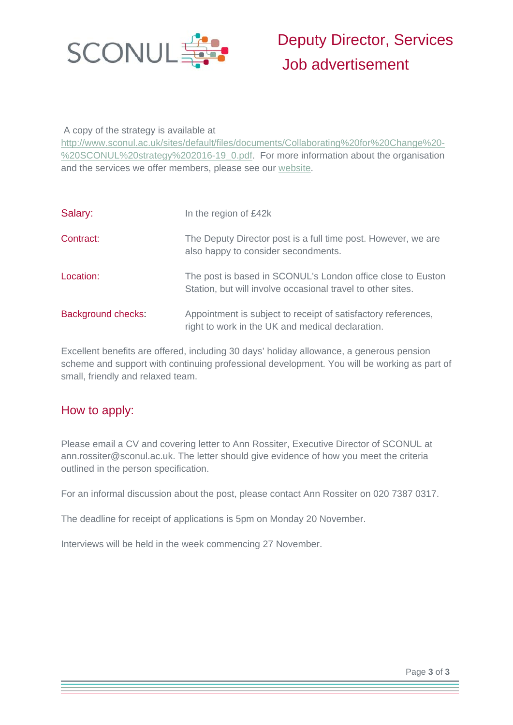

## A copy of the strategy is available at

http://www.sconul.ac.uk/sites/default/files/documents/Collaborating%20for%20Change%20- %20SCONUL%20strategy%202016-19\_0.pdf. For more information about the organisation and the services we offer members, please see our website.

| Salary:            | In the region of £42k                                                                                                      |
|--------------------|----------------------------------------------------------------------------------------------------------------------------|
| Contract:          | The Deputy Director post is a full time post. However, we are<br>also happy to consider secondments.                       |
| Location:          | The post is based in SCONUL's London office close to Euston<br>Station, but will involve occasional travel to other sites. |
| Background checks: | Appointment is subject to receipt of satisfactory references,<br>right to work in the UK and medical declaration.          |

Excellent benefits are offered, including 30 days' holiday allowance, a generous pension scheme and support with continuing professional development. You will be working as part of small, friendly and relaxed team.

# How to apply:

Please email a CV and covering letter to Ann Rossiter, Executive Director of SCONUL at ann.rossiter@sconul.ac.uk. The letter should give evidence of how you meet the criteria outlined in the person specification.

For an informal discussion about the post, please contact Ann Rossiter on 020 7387 0317.

The deadline for receipt of applications is 5pm on Monday 20 November.

Interviews will be held in the week commencing 27 November.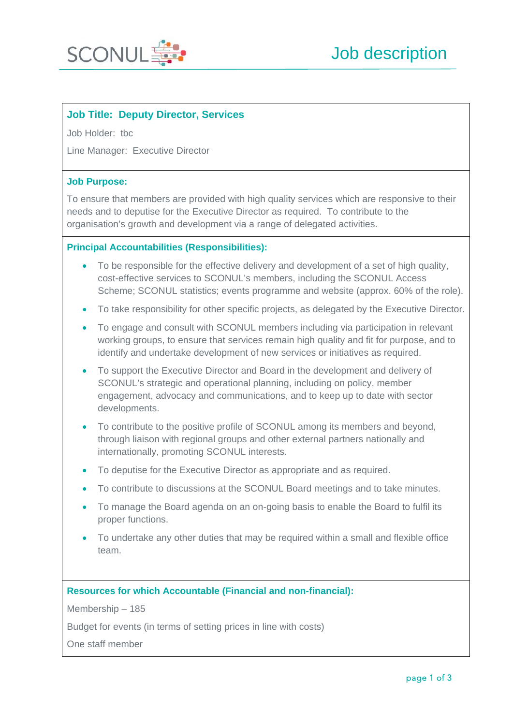

# **Job Title: Deputy Director, Services**

Job Holder: tbc

Line Manager: Executive Director

#### **Job Purpose:**

To ensure that members are provided with high quality services which are responsive to their needs and to deputise for the Executive Director as required. To contribute to the organisation's growth and development via a range of delegated activities.

#### **Principal Accountabilities (Responsibilities):**

- To be responsible for the effective delivery and development of a set of high quality, cost-effective services to SCONUL's members, including the SCONUL Access Scheme; SCONUL statistics; events programme and website (approx. 60% of the role).
- To take responsibility for other specific projects, as delegated by the Executive Director.
- To engage and consult with SCONUL members including via participation in relevant working groups, to ensure that services remain high quality and fit for purpose, and to identify and undertake development of new services or initiatives as required.
- To support the Executive Director and Board in the development and delivery of SCONUL's strategic and operational planning, including on policy, member engagement, advocacy and communications, and to keep up to date with sector developments.
- To contribute to the positive profile of SCONUL among its members and beyond, through liaison with regional groups and other external partners nationally and internationally, promoting SCONUL interests.
- To deputise for the Executive Director as appropriate and as required.
- To contribute to discussions at the SCONUL Board meetings and to take minutes.
- To manage the Board agenda on an on-going basis to enable the Board to fulfil its proper functions.
- To undertake any other duties that may be required within a small and flexible office team.

#### **Resources for which Accountable (Financial and non-financial):**

Membership – 185

Budget for events (in terms of setting prices in line with costs)

One staff member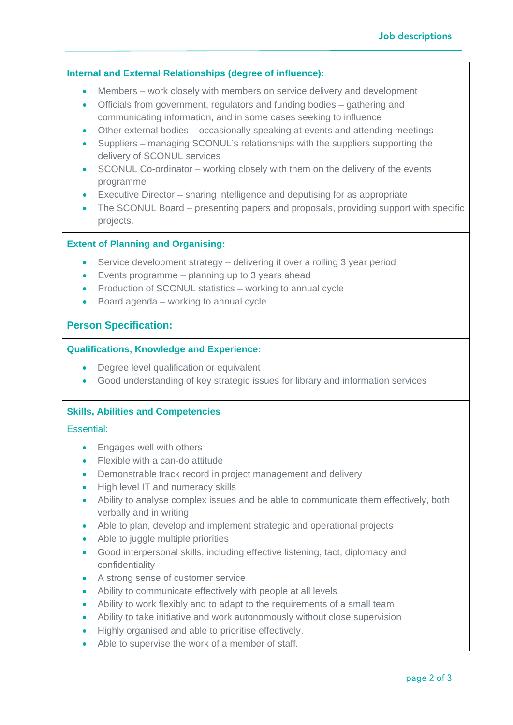### **Internal and External Relationships (degree of influence):**

- Members work closely with members on service delivery and development
- Officials from government, regulators and funding bodies gathering and communicating information, and in some cases seeking to influence
- Other external bodies occasionally speaking at events and attending meetings
- Suppliers managing SCONUL's relationships with the suppliers supporting the delivery of SCONUL services
- SCONUL Co-ordinator working closely with them on the delivery of the events programme
- Executive Director sharing intelligence and deputising for as appropriate
- The SCONUL Board presenting papers and proposals, providing support with specific projects.

### **Extent of Planning and Organising:**

- Service development strategy delivering it over a rolling 3 year period
- $\bullet$  Events programme planning up to 3 years ahead
- Production of SCONUL statistics working to annual cycle
- Board agenda working to annual cycle

### **Person Specification:**

#### **Qualifications, Knowledge and Experience:**

- Degree level qualification or equivalent
- Good understanding of key strategic issues for library and information services

### **Skills, Abilities and Competencies**

#### Essential:

- Engages well with others
- Flexible with a can-do attitude
- Demonstrable track record in project management and delivery
- High level IT and numeracy skills
- Ability to analyse complex issues and be able to communicate them effectively, both verbally and in writing
- Able to plan, develop and implement strategic and operational projects
- Able to juggle multiple priorities
- Good interpersonal skills, including effective listening, tact, diplomacy and confidentiality
- A strong sense of customer service
- Ability to communicate effectively with people at all levels
- Ability to work flexibly and to adapt to the requirements of a small team
- Ability to take initiative and work autonomously without close supervision
- Highly organised and able to prioritise effectively.
- Able to supervise the work of a member of staff.